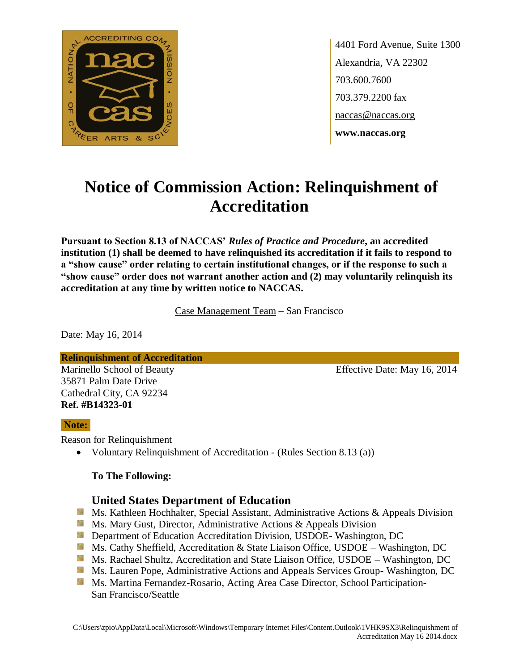

4401 Ford Avenue, Suite 1300 Alexandria, VA 22302 703.600.7600 703.379.2200 fax naccas@naccas.org **www.naccas.org**

# **Notice of Commission Action: Relinquishment of Accreditation**

**Pursuant to Section 8.13 of NACCAS'** *Rules of Practice and Procedure***, an accredited institution (1) shall be deemed to have relinquished its accreditation if it fails to respond to a "show cause" order relating to certain institutional changes, or if the response to such a "show cause" order does not warrant another action and (2) may voluntarily relinquish its accreditation at any time by written notice to NACCAS.**

Case Management Team – San Francisco

Date: May 16, 2014

**Relinquishment of Accreditation**

35871 Palm Date Drive Cathedral City, CA 92234 **Ref. #B14323-01**

Marinello School of Beauty Effective Date: May 16, 2014

## **Note:**

Reason for Relinquishment

• Voluntary Relinquishment of Accreditation - (Rules Section 8.13 (a))

## **To The Following:**

## **United States Department of Education**

- **Ms. Kathleen Hochhalter, Special Assistant, Administrative Actions & Appeals Division**
- **Ms. Mary Gust, Director, Administrative Actions & Appeals Division**
- **Department of Education Accreditation Division, USDOE- Washington, DC**
- Ms. Cathy Sheffield, Accreditation & State Liaison Office, USDOE Washington, DC
- **Ms. Rachael Shultz, Accreditation and State Liaison Office, USDOE Washington, DC**
- **Ms. Lauren Pope, Administrative Actions and Appeals Services Group- Washington, DC**
- **Ms. Martina Fernandez-Rosario, Acting Area Case Director, School Participation-**San Francisco/Seattle